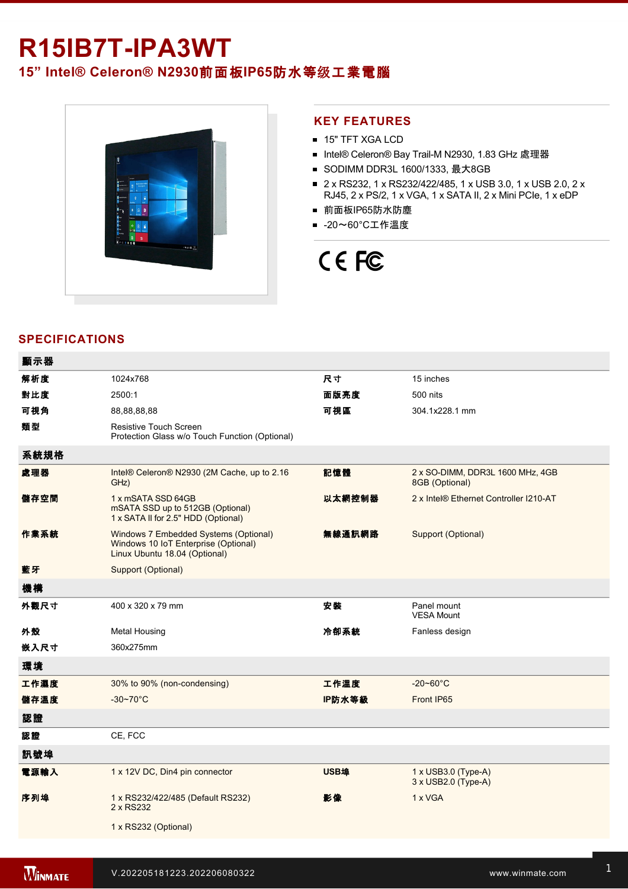# R15IB7T-IPA3WT **15" Intel® Celeron® N2930**前面板**IP65**防水等级工業電腦



### **KEY FEATURES**

- **15" TFT XGA LCD**
- Intel® Celeron® Bay Trail-M N2930, 1.83 GHz 處理器
- SODIMM DDR3L 1600/1333, 最大8GB
- 2 x RS232, 1 x RS232/422/485, 1 x USB 3.0, 1 x USB 2.0, 2 x RJ45, 2 x PS/2, 1 x VGA, 1 x SATA II, 2 x Mini PCIe, 1 x eDP
- 前面板IP65防水防塵
- -20~60°C工作溫度

# CE FC

## **SPECIFICATIONS**

| 顯示器  |                                                                                                                |        |                                                          |
|------|----------------------------------------------------------------------------------------------------------------|--------|----------------------------------------------------------|
| 解析度  | 1024x768                                                                                                       | 尺寸     | 15 inches                                                |
| 對比度  | 2500:1                                                                                                         | 面版亮度   | 500 nits                                                 |
| 可視角  | 88,88,88,88                                                                                                    | 可視區    | 304.1x228.1 mm                                           |
| 類型   | <b>Resistive Touch Screen</b><br>Protection Glass w/o Touch Function (Optional)                                |        |                                                          |
| 系統規格 |                                                                                                                |        |                                                          |
| 處理器  | Intel® Celeron® N2930 (2M Cache, up to 2.16<br>GHz)                                                            | 記憶體    | 2 x SO-DIMM, DDR3L 1600 MHz, 4GB<br>8GB (Optional)       |
| 儲存空間 | 1 x mSATA SSD 64GB<br>mSATA SSD up to 512GB (Optional)<br>1 x SATA II for 2.5" HDD (Optional)                  | 以太網控制器 | 2 x Intel® Ethernet Controller I210-AT                   |
| 作業系統 | Windows 7 Embedded Systems (Optional)<br>Windows 10 IoT Enterprise (Optional)<br>Linux Ubuntu 18.04 (Optional) | 無線通訊網路 | Support (Optional)                                       |
| 藍牙   | Support (Optional)                                                                                             |        |                                                          |
| 機構   |                                                                                                                |        |                                                          |
| 外觀尺寸 | 400 x 320 x 79 mm                                                                                              | 安装     | Panel mount<br><b>VESA Mount</b>                         |
| 外殼   | <b>Metal Housing</b>                                                                                           | 冷卻系統   | Fanless design                                           |
| 嵌入尺寸 | 360x275mm                                                                                                      |        |                                                          |
| 環境   |                                                                                                                |        |                                                          |
| 工作濕度 | 30% to 90% (non-condensing)                                                                                    | 工作溫度   | $-20 - 60^{\circ}$ C                                     |
| 儲存溫度 | $-30 - 70^{\circ}$ C                                                                                           | IP防水等級 | Front IP65                                               |
| 認證   |                                                                                                                |        |                                                          |
| 認證   | CE, FCC                                                                                                        |        |                                                          |
| 訊號埠  |                                                                                                                |        |                                                          |
| 電源輸入 | 1 x 12V DC, Din4 pin connector                                                                                 | USB埠   | $1 \times$ USB3.0 (Type-A)<br>$3 \times$ USB2.0 (Type-A) |
| 序列埠  | 1 x RS232/422/485 (Default RS232)<br>2 x RS232                                                                 | 影像     | 1 x VGA                                                  |
|      | 1 x RS232 (Optional)                                                                                           |        |                                                          |
|      |                                                                                                                |        |                                                          |

Line in

1 x Led indicator for storage and the storage storage in the storage storage storage storage storage storage s